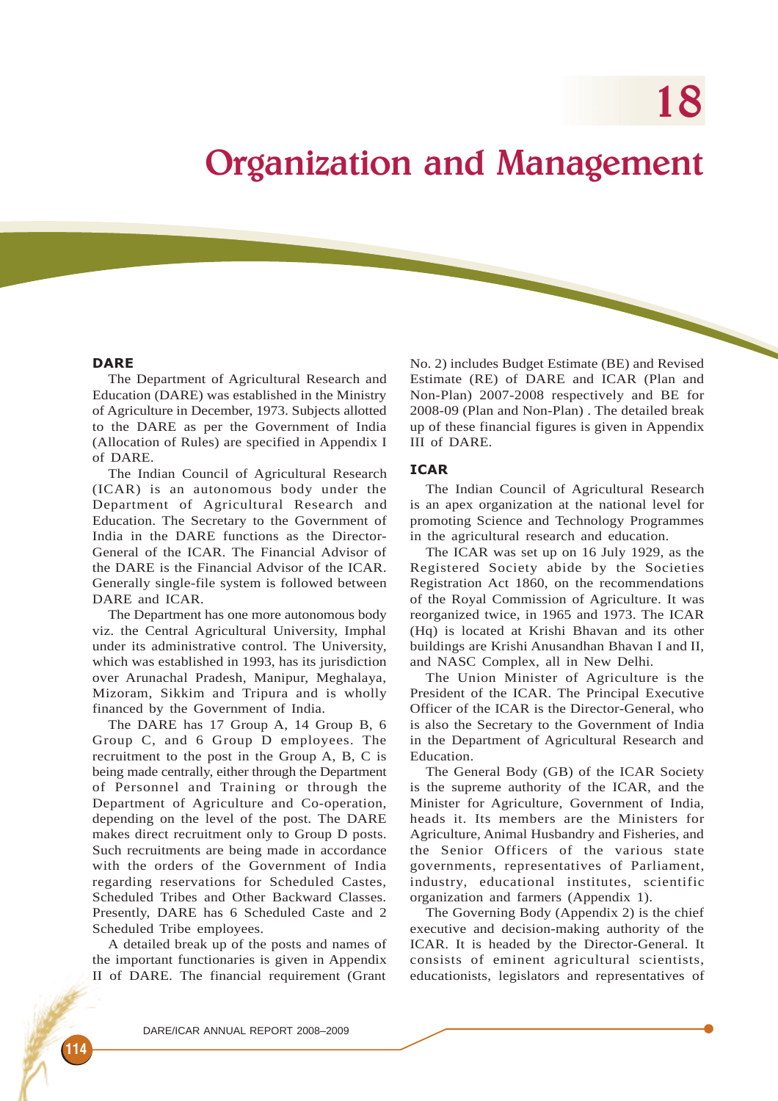18

# Organization and Management

#### **DARE**

The Department of Agricultural Research and Education (DARE) was established in the Ministry of Agriculture in December, 1973. Subjects allotted to the DARE as per the Government of India (Allocation of Rules) are specified in Appendix I of DARE.

The Indian Council of Agricultural Research (ICAR) is an autonomous body under the Department of Agricultural Research and Education. The Secretary to the Government of India in the DARE functions as the Director-General of the ICAR. The Financial Advisor of the DARE is the Financial Advisor of the ICAR. Generally single-file system is followed between DARE and ICAR.

The Department has one more autonomous body viz. the Central Agricultural University, Imphal under its administrative control. The University, which was established in 1993, has its jurisdiction over Arunachal Pradesh, Manipur, Meghalaya, Mizoram, Sikkim and Tripura and is wholly financed by the Government of India.

The DARE has 17 Group A, 14 Group B, 6 Group C, and 6 Group D employees. The recruitment to the post in the Group A, B, C is being made centrally, either through the Department of Personnel and Training or through the Department of Agriculture and Co-operation, depending on the level of the post. The DARE makes direct recruitment only to Group D posts. Such recruitments are being made in accordance with the orders of the Government of India regarding reservations for Scheduled Castes, Scheduled Tribes and Other Backward Classes. Presently, DARE has 6 Scheduled Caste and 2 Scheduled Tribe employees.

A detailed break up of the posts and names of the important functionaries is given in Appendix II of DARE. The financial requirement (Grant

No. 2) includes Budget Estimate (BE) and Revised Estimate (RE) of DARE and ICAR (Plan and Non-Plan) 2007-2008 respectively and BE for 2008-09 (Plan and Non-Plan) . The detailed break up of these financial figures is given in Appendix III of DARE.

#### ICAR

The Indian Council of Agricultural Research is an apex organization at the national level for promoting Science and Technology Programmes in the agricultural research and education.

The ICAR was set up on 16 July 1929, as the Registered Society abide by the Societies Registration Act 1860, on the recommendations of the Royal Commission of Agriculture. It was reorganized twice, in 1965 and 1973. The ICAR (Hq) is located at Krishi Bhavan and its other buildings are Krishi Anusandhan Bhavan I and II, and NASC Complex, all in New Delhi.

The Union Minister of Agriculture is the President of the ICAR. The Principal Executive Officer of the ICAR is the Director-General, who is also the Secretary to the Government of India in the Department of Agricultural Research and Education.

The General Body (GB) of the ICAR Society is the supreme authority of the ICAR, and the Minister for Agriculture, Government of India, heads it. Its members are the Ministers for Agriculture, Animal Husbandry and Fisheries, and the Senior Officers of the various state governments, representatives of Parliament, industry, educational institutes, scientific organization and farmers (Appendix 1).

The Governing Body (Appendix 2) is the chief executive and decision-making authority of the ICAR. It is headed by the Director-General. It consists of eminent agricultural scientists, educationists, legislators and representatives of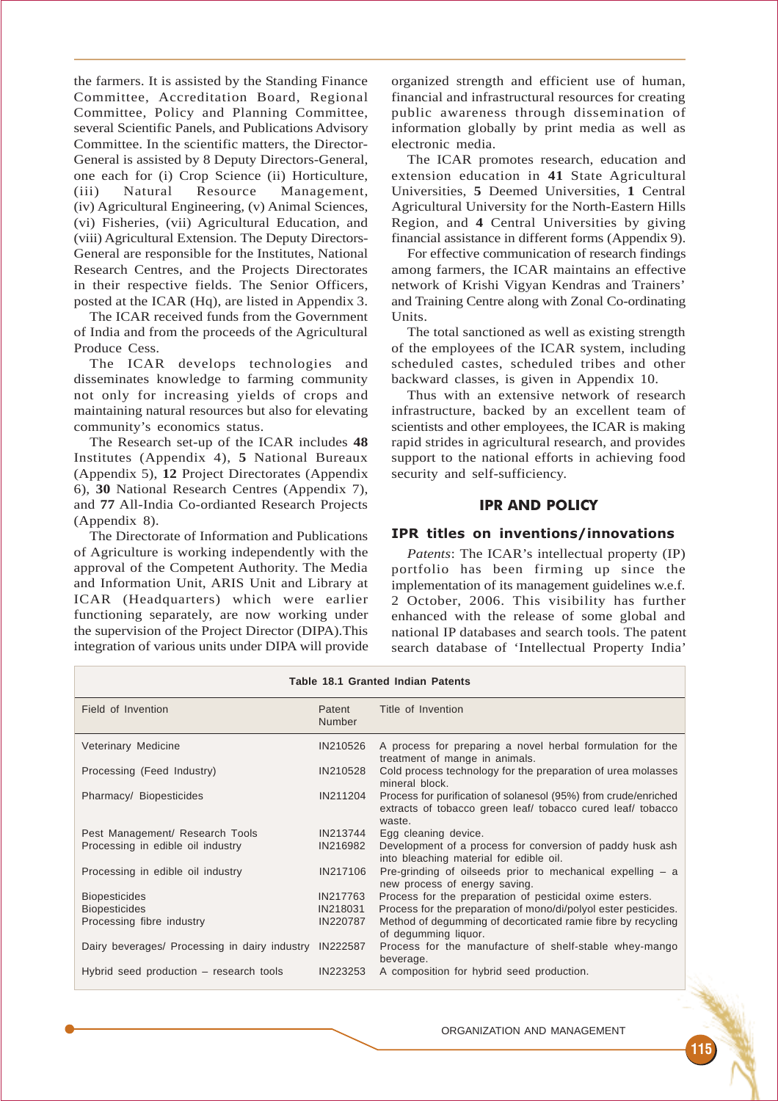the farmers. It is assisted by the Standing Finance Committee, Accreditation Board, Regional Committee, Policy and Planning Committee, several Scientific Panels, and Publications Advisory Committee. In the scientific matters, the Director-General is assisted by 8 Deputy Directors-General, one each for (i) Crop Science (ii) Horticulture, (iii) Natural Resource Management, (iv) Agricultural Engineering, (v) Animal Sciences, (vi) Fisheries, (vii) Agricultural Education, and (viii) Agricultural Extension. The Deputy Directors-General are responsible for the Institutes, National Research Centres, and the Projects Directorates in their respective fields. The Senior Officers, posted at the ICAR (Hq), are listed in Appendix 3.

The ICAR received funds from the Government of India and from the proceeds of the Agricultural Produce Cess.

The ICAR develops technologies and disseminates knowledge to farming community not only for increasing yields of crops and maintaining natural resources but also for elevating community's economics status.

The Research set-up of the ICAR includes **48** Institutes (Appendix 4), **5** National Bureaux (Appendix 5), **12** Project Directorates (Appendix 6), **30** National Research Centres (Appendix 7), and **77** All-India Co-ordianted Research Projects (Appendix 8).

The Directorate of Information and Publications of Agriculture is working independently with the approval of the Competent Authority. The Media and Information Unit, ARIS Unit and Library at ICAR (Headquarters) which were earlier functioning separately, are now working under the supervision of the Project Director (DIPA).This integration of various units under DIPA will provide

organized strength and efficient use of human, financial and infrastructural resources for creating public awareness through dissemination of information globally by print media as well as electronic media.

The ICAR promotes research, education and extension education in **41** State Agricultural Universities, **5** Deemed Universities, **1** Central Agricultural University for the North-Eastern Hills Region, and **4** Central Universities by giving financial assistance in different forms (Appendix 9).

For effective communication of research findings among farmers, the ICAR maintains an effective network of Krishi Vigyan Kendras and Trainers' and Training Centre along with Zonal Co-ordinating Units.

The total sanctioned as well as existing strength of the employees of the ICAR system, including scheduled castes, scheduled tribes and other backward classes, is given in Appendix 10.

Thus with an extensive network of research infrastructure, backed by an excellent team of scientists and other employees, the ICAR is making rapid strides in agricultural research, and provides support to the national efforts in achieving food security and self-sufficiency.

# IPR AND POLICY

#### IPR titles on inventions/innovations

*Patents*: The ICAR's intellectual property (IP) portfolio has been firming up since the implementation of its management guidelines w.e.f. 2 October, 2006. This visibility has further enhanced with the release of some global and national IP databases and search tools. The patent search database of 'Intellectual Property India'

| Table 18.1 Granted Indian Patents             |                         |                                                                                                                                          |  |  |  |  |  |
|-----------------------------------------------|-------------------------|------------------------------------------------------------------------------------------------------------------------------------------|--|--|--|--|--|
| Field of Invention                            | Patent<br><b>Number</b> | Title of Invention                                                                                                                       |  |  |  |  |  |
| Veterinary Medicine                           | IN210526                | A process for preparing a novel herbal formulation for the<br>treatment of mange in animals.                                             |  |  |  |  |  |
| Processing (Feed Industry)                    | IN210528                | Cold process technology for the preparation of urea molasses<br>mineral block.                                                           |  |  |  |  |  |
| Pharmacy/ Biopesticides                       | IN211204                | Process for purification of solanesol (95%) from crude/enriched<br>extracts of tobacco green leaf/ tobacco cured leaf/ tobacco<br>waste. |  |  |  |  |  |
| Pest Management/ Research Tools               | IN213744                | Egg cleaning device.                                                                                                                     |  |  |  |  |  |
| Processing in edible oil industry             | IN216982                | Development of a process for conversion of paddy husk ash<br>into bleaching material for edible oil.                                     |  |  |  |  |  |
| Processing in edible oil industry             | IN217106                | Pre-grinding of oilseeds prior to mechanical expelling $-$ a<br>new process of energy saving.                                            |  |  |  |  |  |
| <b>Biopesticides</b>                          | IN217763                | Process for the preparation of pesticidal oxime esters.                                                                                  |  |  |  |  |  |
| <b>Biopesticides</b>                          | IN218031                | Process for the preparation of mono/di/polyol ester pesticides.                                                                          |  |  |  |  |  |
| Processing fibre industry                     | IN220787                | Method of degumming of decorticated ramie fibre by recycling<br>of degumming liquor.                                                     |  |  |  |  |  |
| Dairy beverages/ Processing in dairy industry | IN222587                | Process for the manufacture of shelf-stable whey-mango<br>beverage.                                                                      |  |  |  |  |  |
| Hybrid seed production – research tools       | IN223253                | A composition for hybrid seed production.                                                                                                |  |  |  |  |  |

**Table 18.1 Granted Indian Patents**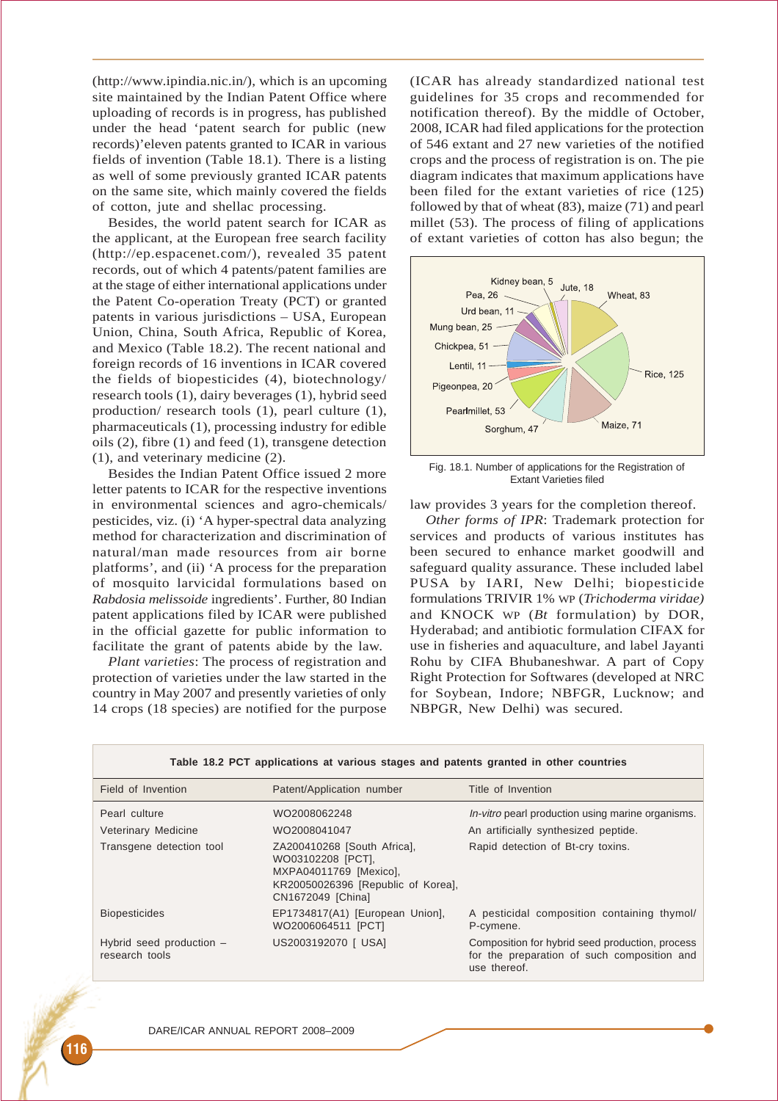(http://www.ipindia.nic.in/), which is an upcoming site maintained by the Indian Patent Office where uploading of records is in progress, has published under the head 'patent search for public (new records)'eleven patents granted to ICAR in various fields of invention (Table 18.1). There is a listing as well of some previously granted ICAR patents on the same site, which mainly covered the fields of cotton, jute and shellac processing.

Besides, the world patent search for ICAR as the applicant, at the European free search facility (http://ep.espacenet.com/), revealed 35 patent records, out of which 4 patents/patent families are at the stage of either international applications under the Patent Co-operation Treaty (PCT) or granted patents in various jurisdictions – USA, European Union, China, South Africa, Republic of Korea, and Mexico (Table 18.2). The recent national and foreign records of 16 inventions in ICAR covered the fields of biopesticides (4), biotechnology/ research tools (1), dairy beverages (1), hybrid seed production/ research tools (1), pearl culture (1), pharmaceuticals (1), processing industry for edible oils (2), fibre (1) and feed (1), transgene detection (1), and veterinary medicine (2).

Besides the Indian Patent Office issued 2 more letter patents to ICAR for the respective inventions in environmental sciences and agro-chemicals/ pesticides, viz. (i) 'A hyper-spectral data analyzing method for characterization and discrimination of natural/man made resources from air borne platforms', and (ii) 'A process for the preparation of mosquito larvicidal formulations based on *Rabdosia melissoide* ingredients'. Further, 80 Indian patent applications filed by ICAR were published in the official gazette for public information to facilitate the grant of patents abide by the law.

*Plant varieties*: The process of registration and protection of varieties under the law started in the country in May 2007 and presently varieties of only 14 crops (18 species) are notified for the purpose (ICAR has already standardized national test guidelines for 35 crops and recommended for notification thereof). By the middle of October, 2008, ICAR had filed applications for the protection of 546 extant and 27 new varieties of the notified crops and the process of registration is on. The pie diagram indicates that maximum applications have been filed for the extant varieties of rice (125) followed by that of wheat (83), maize (71) and pearl millet (53). The process of filing of applications of extant varieties of cotton has also begun; the



Fig. 18.1. Number of applications for the Registration of Extant Varieties filed

law provides 3 years for the completion thereof.

*Other forms of IPR*: Trademark protection for services and products of various institutes has been secured to enhance market goodwill and safeguard quality assurance. These included label PUSA by IARI, New Delhi; biopesticide formulations TRIVIR 1% WP (*Trichoderma viridae)* and KNOCK WP (*Bt* formulation) by DOR, Hyderabad; and antibiotic formulation CIFAX for use in fisheries and aquaculture, and label Jayanti Rohu by CIFA Bhubaneshwar. A part of Copy Right Protection for Softwares (developed at NRC for Soybean, Indore; NBFGR, Lucknow; and NBPGR, New Delhi) was secured.

| Field of Invention                         | Patent/Application number                                                                                                             | Title of Invention                                                                                             |
|--------------------------------------------|---------------------------------------------------------------------------------------------------------------------------------------|----------------------------------------------------------------------------------------------------------------|
| Pearl culture                              | WO2008062248                                                                                                                          | <i>In-vitro</i> pearl production using marine organisms.                                                       |
| Veterinary Medicine                        | WO2008041047                                                                                                                          | An artificially synthesized peptide.                                                                           |
| Transgene detection tool                   | ZA200410268 [South Africa],<br>WO03102208 [PCT],<br>MXPA04011769 [Mexico],<br>KR20050026396 [Republic of Korea],<br>CN1672049 [China] | Rapid detection of Bt-cry toxins.                                                                              |
| <b>Biopesticides</b>                       | EP1734817(A1) [European Union],<br>WO2006064511 [PCT]                                                                                 | A pesticidal composition containing thymol/<br>P-cymene.                                                       |
| Hybrid seed production -<br>research tools | US2003192070   USA]                                                                                                                   | Composition for hybrid seed production, process<br>for the preparation of such composition and<br>use thereof. |

**Table 18.2 PCT applications at various stages and patents granted in other countries**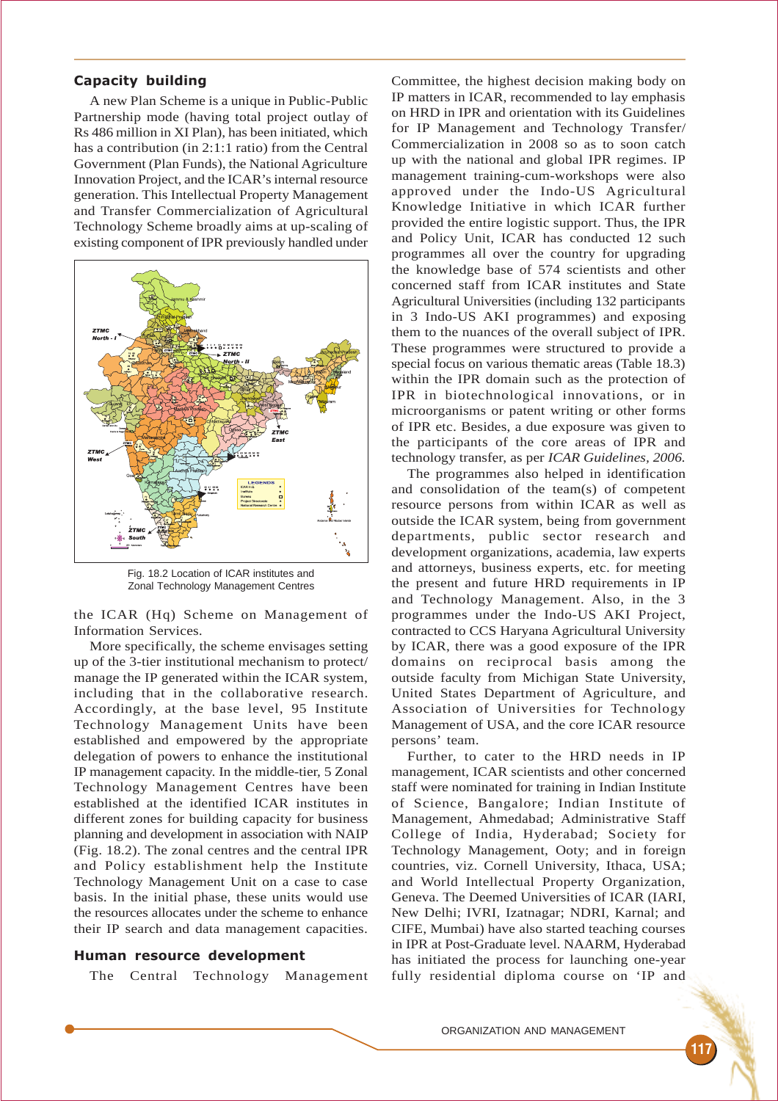#### Capacity building

A new Plan Scheme is a unique in Public-Public Partnership mode (having total project outlay of Rs 486 million in XI Plan), has been initiated, which has a contribution (in 2:1:1 ratio) from the Central Government (Plan Funds), the National Agriculture Innovation Project, and the ICAR's internal resource generation. This Intellectual Property Management and Transfer Commercialization of Agricultural Technology Scheme broadly aims at up-scaling of existing component of IPR previously handled under



Fig. 18.2 Location of ICAR institutes and Zonal Technology Management Centres

the ICAR (Hq) Scheme on Management of Information Services.

More specifically, the scheme envisages setting up of the 3-tier institutional mechanism to protect/ manage the IP generated within the ICAR system, including that in the collaborative research. Accordingly, at the base level, 95 Institute Technology Management Units have been established and empowered by the appropriate delegation of powers to enhance the institutional IP management capacity. In the middle-tier, 5 Zonal Technology Management Centres have been established at the identified ICAR institutes in different zones for building capacity for business planning and development in association with NAIP (Fig. 18.2). The zonal centres and the central IPR and Policy establishment help the Institute Technology Management Unit on a case to case basis. In the initial phase, these units would use the resources allocates under the scheme to enhance their IP search and data management capacities.

#### Human resource development

The Central Technology Management

Committee, the highest decision making body on IP matters in ICAR, recommended to lay emphasis on HRD in IPR and orientation with its Guidelines for IP Management and Technology Transfer/ Commercialization in 2008 so as to soon catch up with the national and global IPR regimes. IP management training-cum-workshops were also approved under the Indo-US Agricultural Knowledge Initiative in which ICAR further provided the entire logistic support. Thus, the IPR and Policy Unit, ICAR has conducted 12 such programmes all over the country for upgrading the knowledge base of 574 scientists and other concerned staff from ICAR institutes and State Agricultural Universities (including 132 participants in 3 Indo-US AKI programmes) and exposing them to the nuances of the overall subject of IPR. These programmes were structured to provide a special focus on various thematic areas (Table 18.3) within the IPR domain such as the protection of IPR in biotechnological innovations, or in microorganisms or patent writing or other forms of IPR etc. Besides, a due exposure was given to the participants of the core areas of IPR and technology transfer, as per *ICAR Guidelines, 2006.*

The programmes also helped in identification and consolidation of the team(s) of competent resource persons from within ICAR as well as outside the ICAR system, being from government departments, public sector research and development organizations, academia, law experts and attorneys, business experts, etc. for meeting the present and future HRD requirements in IP and Technology Management. Also, in the 3 programmes under the Indo-US AKI Project, contracted to CCS Haryana Agricultural University by ICAR, there was a good exposure of the IPR domains on reciprocal basis among the outside faculty from Michigan State University, United States Department of Agriculture, and Association of Universities for Technology Management of USA, and the core ICAR resource persons' team.

Further, to cater to the HRD needs in IP management, ICAR scientists and other concerned staff were nominated for training in Indian Institute of Science, Bangalore; Indian Institute of Management, Ahmedabad; Administrative Staff College of India, Hyderabad; Society for Technology Management, Ooty; and in foreign countries, viz. Cornell University, Ithaca, USA; and World Intellectual Property Organization, Geneva. The Deemed Universities of ICAR (IARI, New Delhi; IVRI, Izatnagar; NDRI, Karnal; and CIFE, Mumbai) have also started teaching courses in IPR at Post-Graduate level. NAARM, Hyderabad has initiated the process for launching one-year fully residential diploma course on 'IP and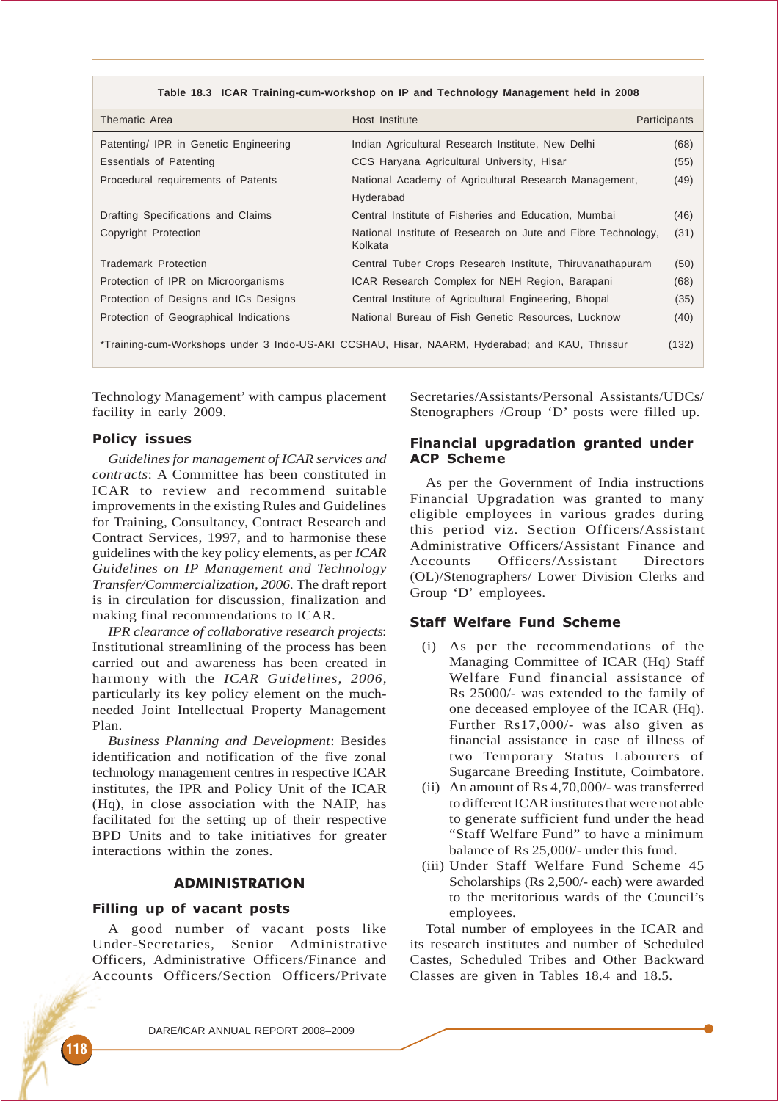| Thematic Area                          | Host Institute                                                                                 | Participants |
|----------------------------------------|------------------------------------------------------------------------------------------------|--------------|
| Patenting/ IPR in Genetic Engineering  | Indian Agricultural Research Institute, New Delhi                                              | (68)         |
| Essentials of Patenting                | CCS Haryana Agricultural University, Hisar                                                     | (55)         |
| Procedural requirements of Patents     | National Academy of Agricultural Research Management,                                          | (49)         |
|                                        | Hyderabad                                                                                      |              |
| Drafting Specifications and Claims     | Central Institute of Fisheries and Education, Mumbai                                           | (46)         |
| Copyright Protection                   | National Institute of Research on Jute and Fibre Technology,<br>Kolkata                        | (31)         |
| Trademark Protection                   | Central Tuber Crops Research Institute, Thiruvanathapuram                                      | (50)         |
| Protection of IPR on Microorganisms    | ICAR Research Complex for NEH Region, Barapani                                                 | (68)         |
| Protection of Designs and ICs Designs  | Central Institute of Agricultural Engineering, Bhopal                                          | (35)         |
| Protection of Geographical Indications | National Bureau of Fish Genetic Resources, Lucknow                                             | (40)         |
|                                        | *Training-cum-Workshops under 3 Indo-US-AKI CCSHAU, Hisar, NAARM, Hyderabad; and KAU, Thrissur | (132)        |

Technology Management' with campus placement facility in early 2009.

### Policy issues

*Guidelines for management of ICAR services and contracts*: A Committee has been constituted in ICAR to review and recommend suitable improvements in the existing Rules and Guidelines for Training, Consultancy, Contract Research and Contract Services, 1997, and to harmonise these guidelines with the key policy elements, as per *ICAR Guidelines on IP Management and Technology Transfer/Commercialization, 2006.* The draft report is in circulation for discussion, finalization and making final recommendations to ICAR.

*IPR clearance of collaborative research projects*: Institutional streamlining of the process has been carried out and awareness has been created in harmony with the *ICAR Guidelines, 2006*, particularly its key policy element on the muchneeded Joint Intellectual Property Management Plan.

*Business Planning and Development*: Besides identification and notification of the five zonal technology management centres in respective ICAR institutes, the IPR and Policy Unit of the ICAR (Hq), in close association with the NAIP, has facilitated for the setting up of their respective BPD Units and to take initiatives for greater interactions within the zones.

# ADMINISTRATION

#### Filling up of vacant posts

A good number of vacant posts like Under-Secretaries, Senior Administrative Officers, Administrative Officers/Finance and Accounts Officers/Section Officers/Private Secretaries/Assistants/Personal Assistants/UDCs/ Stenographers /Group 'D' posts were filled up.

### Financial upgradation granted under ACP Scheme

As per the Government of India instructions Financial Upgradation was granted to many eligible employees in various grades during this period viz. Section Officers/Assistant Administrative Officers/Assistant Finance and Accounts Officers/Assistant Directors (OL)/Stenographers/ Lower Division Clerks and Group 'D' employees.

# Staff Welfare Fund Scheme

- (i) As per the recommendations of the Managing Committee of ICAR (Hq) Staff Welfare Fund financial assistance of Rs 25000/- was extended to the family of one deceased employee of the ICAR (Hq). Further Rs17,000/- was also given as financial assistance in case of illness of two Temporary Status Labourers of Sugarcane Breeding Institute, Coimbatore.
- (ii) An amount of Rs 4,70,000/- was transferred to different ICAR institutes that were not able to generate sufficient fund under the head "Staff Welfare Fund" to have a minimum balance of Rs 25,000/- under this fund.
- (iii) Under Staff Welfare Fund Scheme 45 Scholarships (Rs 2,500/- each) were awarded to the meritorious wards of the Council's employees.

Total number of employees in the ICAR and its research institutes and number of Scheduled Castes, Scheduled Tribes and Other Backward Classes are given in Tables 18.4 and 18.5.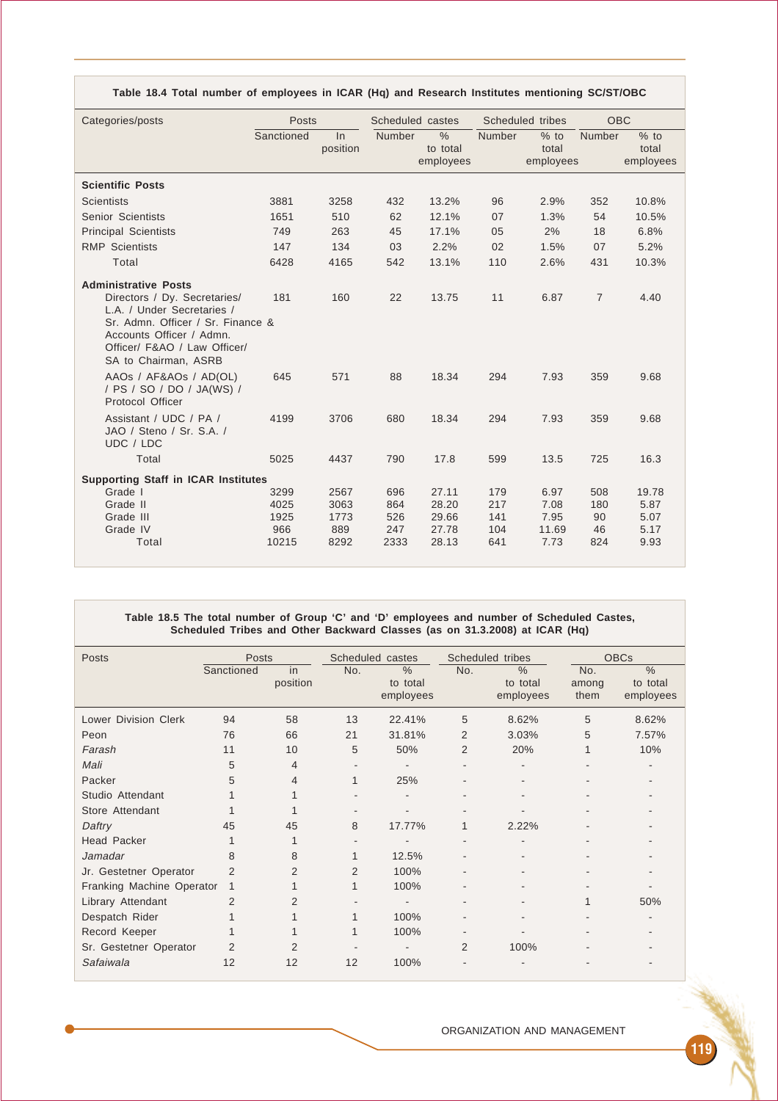| Categories/posts                                                                                                                                                                                                   | Posts      |                | Scheduled castes |                                        | Scheduled tribes |                              | <b>OBC</b>     |                              |
|--------------------------------------------------------------------------------------------------------------------------------------------------------------------------------------------------------------------|------------|----------------|------------------|----------------------------------------|------------------|------------------------------|----------------|------------------------------|
|                                                                                                                                                                                                                    | Sanctioned | ln<br>position | <b>Number</b>    | $\frac{0}{0}$<br>to total<br>employees | Number           | $%$ to<br>total<br>employees | Number         | $%$ to<br>total<br>employees |
| <b>Scientific Posts</b>                                                                                                                                                                                            |            |                |                  |                                        |                  |                              |                |                              |
| Scientists                                                                                                                                                                                                         | 3881       | 3258           | 432              | 13.2%                                  | 96               | 2.9%                         | 352            | 10.8%                        |
| Senior Scientists                                                                                                                                                                                                  | 1651       | 510            | 62               | 12.1%                                  | 07               | 1.3%                         | 54             | 10.5%                        |
| <b>Principal Scientists</b>                                                                                                                                                                                        | 749        | 263            | 45               | 17.1%                                  | 05               | 2%                           | 18             | 6.8%                         |
| <b>RMP</b> Scientists                                                                                                                                                                                              | 147        | 134            | 03               | 2.2%                                   | 02               | 1.5%                         | 07             | 5.2%                         |
| Total                                                                                                                                                                                                              | 6428       | 4165           | 542              | 13.1%                                  | 110              | 2.6%                         | 431            | 10.3%                        |
| <b>Administrative Posts</b><br>Directors / Dy. Secretaries/<br>L.A. / Under Secretaries /<br>Sr. Admn. Officer / Sr. Finance &<br>Accounts Officer / Admn.<br>Officer/ F&AO / Law Officer/<br>SA to Chairman, ASRB | 181        | 160            | 22               | 13.75                                  | 11               | 6.87                         | $\overline{7}$ | 4.40                         |
| AAOS / AF&AOS / AD(OL)<br>/ PS / SO / DO / JA(WS) /<br>Protocol Officer                                                                                                                                            | 645        | 571            | 88               | 18.34                                  | 294              | 7.93                         | 359            | 9.68                         |
| Assistant / UDC / PA /<br>JAO / Steno / Sr. S.A. /<br>UDC / LDC                                                                                                                                                    | 4199       | 3706           | 680              | 18.34                                  | 294              | 7.93                         | 359            | 9.68                         |
| Total                                                                                                                                                                                                              | 5025       | 4437           | 790              | 17.8                                   | 599              | 13.5                         | 725            | 16.3                         |
| <b>Supporting Staff in ICAR Institutes</b>                                                                                                                                                                         |            |                |                  |                                        |                  |                              |                |                              |
| Grade I                                                                                                                                                                                                            | 3299       | 2567           | 696              | 27.11                                  | 179              | 6.97                         | 508            | 19.78                        |
| Grade II                                                                                                                                                                                                           | 4025       | 3063           | 864              | 28.20                                  | 217              | 7.08                         | 180            | 5.87                         |
| Grade III                                                                                                                                                                                                          | 1925       | 1773           | 526              | 29.66                                  | 141              | 7.95                         | 90             | 5.07                         |
| Grade IV                                                                                                                                                                                                           | 966        | 889            | 247              | 27.78                                  | 104              | 11.69                        | 46             | 5.17                         |
| Total                                                                                                                                                                                                              | 10215      | 8292           | 2333             | 28.13                                  | 641              | 7.73                         | 824            | 9.93                         |

**Table 18.4 Total number of employees in ICAR (Hq) and Research Institutes mentioning SC/ST/OBC**

#### **Table 18.5 The total number of Group 'C' and 'D' employees and number of Scheduled Castes, Scheduled Tribes and Other Backward Classes (as on 31.3.2008) at ICAR (Hq)**

| <b>Posts</b>                | <b>Posts</b>   |                | Scheduled castes         |                               |                | Scheduled tribes                       | <b>OBCs</b>          |                                        |
|-----------------------------|----------------|----------------|--------------------------|-------------------------------|----------------|----------------------------------------|----------------------|----------------------------------------|
|                             | Sanctioned     | in<br>position | No.                      | $\%$<br>to total<br>employees | No.            | $\frac{0}{0}$<br>to total<br>employees | No.<br>among<br>them | $\frac{0}{0}$<br>to total<br>employees |
| <b>Lower Division Clerk</b> | 94             | 58             | 13                       | 22.41%                        | 5              | 8.62%                                  | 5                    | 8.62%                                  |
| Peon                        | 76             | 66             | 21                       | 31.81%                        | 2              | 3.03%                                  | 5                    | 7.57%                                  |
| Farash                      | 11             | 10             | 5                        | 50%                           | $\overline{2}$ | 20%                                    |                      | 10%                                    |
| Mali                        | 5              | 4              | $\overline{\phantom{a}}$ |                               |                |                                        |                      |                                        |
| Packer                      | 5              | 4              | 1                        | 25%                           |                |                                        |                      |                                        |
| Studio Attendant            |                |                |                          |                               |                |                                        |                      |                                        |
| Store Attendant             |                |                |                          |                               |                |                                        |                      |                                        |
| Daftry                      | 45             | 45             | 8                        | 17.77%                        |                | 2.22%                                  |                      |                                        |
| <b>Head Packer</b>          |                |                |                          |                               |                |                                        |                      |                                        |
| Jamadar                     | 8              | 8              | 1                        | 12.5%                         |                |                                        |                      |                                        |
| Jr. Gestetner Operator      | $\overline{2}$ | $\overline{2}$ | $\overline{2}$           | 100%                          |                |                                        |                      |                                        |
| Franking Machine Operator   | 1              |                | $\mathbf{1}$             | 100%                          |                |                                        |                      |                                        |
| Library Attendant           | $\overline{2}$ | $\mathcal{P}$  |                          |                               |                |                                        |                      | 50%                                    |
| Despatch Rider              |                |                | $\mathbf{1}$             | 100%                          |                |                                        |                      |                                        |
| Record Keeper               |                |                | $\mathbf{1}$             | 100%                          |                |                                        |                      |                                        |
| Sr. Gestetner Operator      | $\overline{2}$ |                |                          |                               | $\overline{2}$ | 100%                                   |                      |                                        |
| Safaiwala                   | 12             | 12             | 12                       | 100%                          |                |                                        |                      |                                        |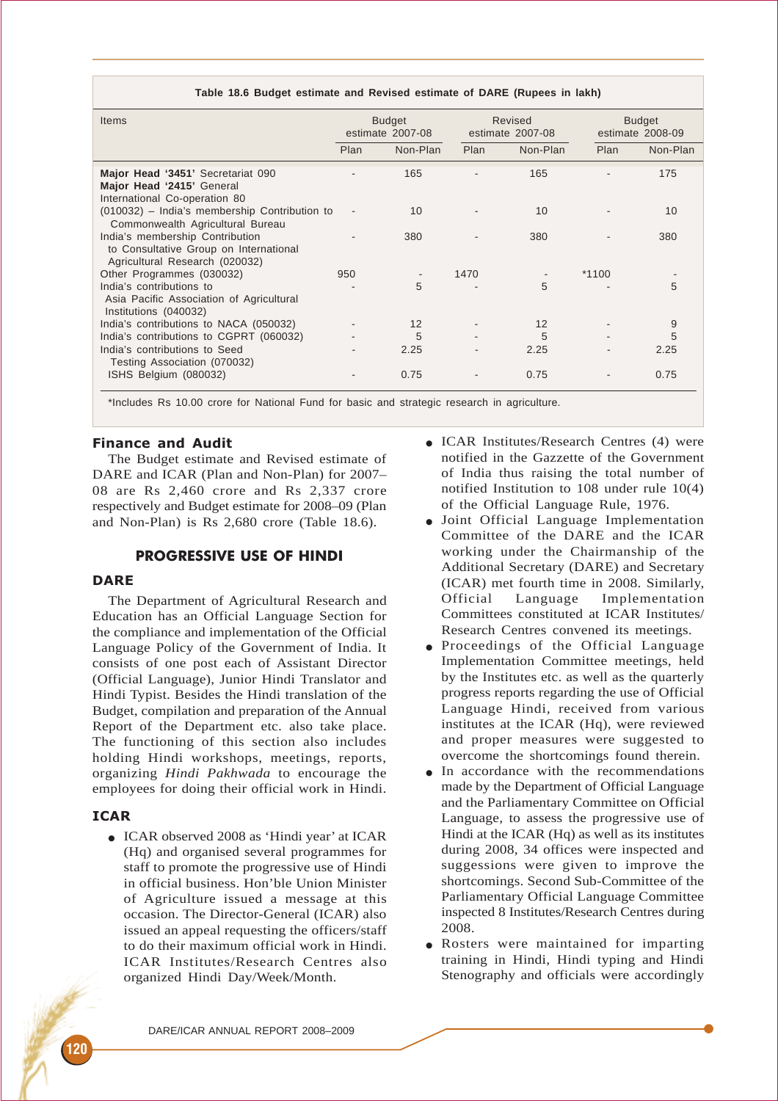#### **Table 18.6 Budget estimate and Revised estimate of DARE (Rupees in lakh)**

| Items                                                                                                       | <b>Budget</b><br>estimate 2007-08 |          |      | Revised<br>estimate 2007-08 | <b>Budget</b><br>estimate 2008-09 |          |  |
|-------------------------------------------------------------------------------------------------------------|-----------------------------------|----------|------|-----------------------------|-----------------------------------|----------|--|
|                                                                                                             | Plan                              | Non-Plan | Plan | Non-Plan                    | Plan                              | Non-Plan |  |
| Major Head '3451' Secretariat 090<br>Major Head '2415' General<br>International Co-operation 80             |                                   | 165      |      | 165                         |                                   | 175      |  |
| (010032) - India's membership Contribution to<br>Commonwealth Agricultural Bureau                           |                                   | 10       |      | 10                          |                                   | 10       |  |
| India's membership Contribution<br>to Consultative Group on International<br>Agricultural Research (020032) |                                   | 380      |      | 380                         |                                   | 380      |  |
| Other Programmes (030032)                                                                                   | 950                               |          | 1470 |                             | $*1100$                           |          |  |
| India's contributions to<br>Asia Pacific Association of Agricultural<br>Institutions (040032)               |                                   | 5        |      | 5                           |                                   | 5        |  |
| India's contributions to NACA (050032)                                                                      |                                   | 12       |      | 12                          |                                   | 9        |  |
| India's contributions to CGPRT (060032)                                                                     |                                   | 5        |      | 5                           |                                   | 5        |  |
| India's contributions to Seed<br>Testing Association (070032)                                               |                                   | 2.25     |      | 2.25                        |                                   | 2.25     |  |
| ISHS Belgium (080032)                                                                                       |                                   | 0.75     |      | 0.75                        |                                   | 0.75     |  |

\*Includes Rs 10.00 crore for National Fund for basic and strategic research in agriculture.

#### Finance and Audit

The Budget estimate and Revised estimate of DARE and ICAR (Plan and Non-Plan) for 2007– 08 are Rs 2,460 crore and Rs 2,337 crore respectively and Budget estimate for 2008–09 (Plan and Non-Plan) is Rs 2,680 crore (Table 18.6).

# PROGRESSIVE USE OF HINDI

### **DARE**

The Department of Agricultural Research and Education has an Official Language Section for the compliance and implementation of the Official Language Policy of the Government of India. It consists of one post each of Assistant Director (Official Language), Junior Hindi Translator and Hindi Typist. Besides the Hindi translation of the Budget, compilation and preparation of the Annual Report of the Department etc. also take place. The functioning of this section also includes holding Hindi workshops, meetings, reports, organizing *Hindi Pakhwada* to encourage the employees for doing their official work in Hindi.

#### ICAR

● ICAR observed 2008 as 'Hindi year' at ICAR (Hq) and organised several programmes for staff to promote the progressive use of Hindi in official business. Hon'ble Union Minister of Agriculture issued a message at this occasion. The Director-General (ICAR) also issued an appeal requesting the officers/staff to do their maximum official work in Hindi. ICAR Institutes/Research Centres also organized Hindi Day/Week/Month.

- ICAR Institutes/Research Centres (4) were notified in the Gazzette of the Government of India thus raising the total number of notified Institution to 108 under rule 10(4) of the Official Language Rule, 1976.
- Joint Official Language Implementation Committee of the DARE and the ICAR working under the Chairmanship of the Additional Secretary (DARE) and Secretary (ICAR) met fourth time in 2008. Similarly, Official Language Implementation Committees constituted at ICAR Institutes/ Research Centres convened its meetings.
- Proceedings of the Official Language Implementation Committee meetings, held by the Institutes etc. as well as the quarterly progress reports regarding the use of Official Language Hindi, received from various institutes at the ICAR (Hq), were reviewed and proper measures were suggested to overcome the shortcomings found therein.
- In accordance with the recommendations made by the Department of Official Language and the Parliamentary Committee on Official Language, to assess the progressive use of Hindi at the ICAR (Hq) as well as its institutes during 2008, 34 offices were inspected and suggessions were given to improve the shortcomings. Second Sub-Committee of the Parliamentary Official Language Committee inspected 8 Institutes/Research Centres during 2008.
- Rosters were maintained for imparting training in Hindi, Hindi typing and Hindi Stenography and officials were accordingly